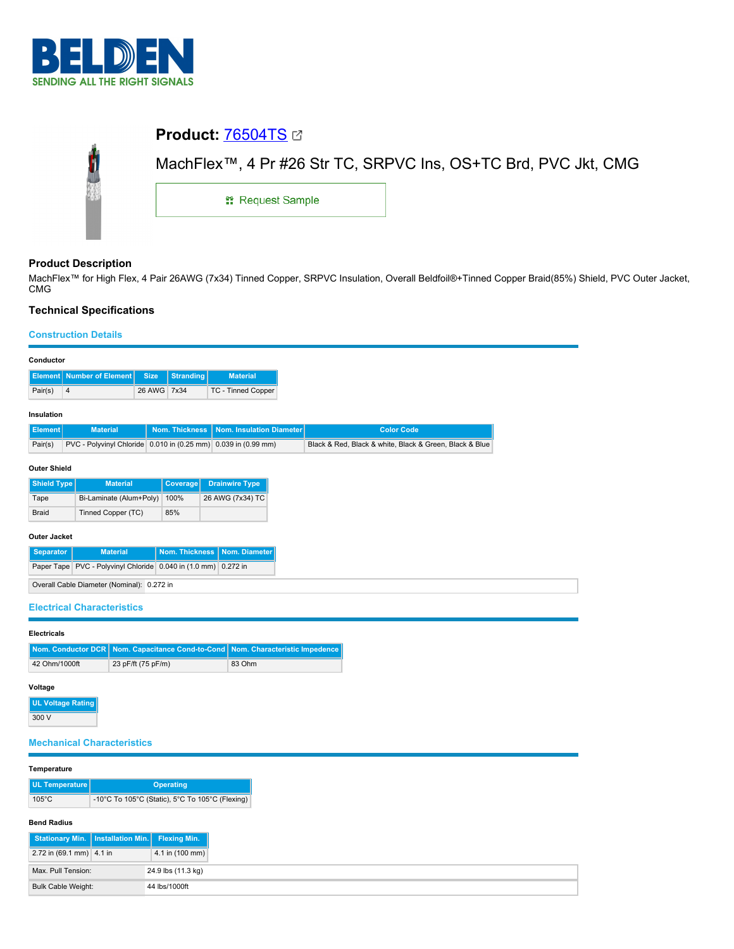

# **Product:** [76504TS](https://catalog.belden.com/index.cfm?event=pd&p=PF_76504TS&tab=downloads) MachFlex™, 4 Pr #26 Str TC, SRPVC Ins, OS+TC Brd, PVC Jkt, CMG Л 1: Request Sample

## **Product Description**

MachFlex™ for High Flex, 4 Pair 26AWG (7x34) Tinned Copper, SRPVC Insulation, Overall Beldfoil®+Tinned Copper Braid(85%) Shield, PVC Outer Jacket, CMG

## **Technical Specifications**

### **Construction Details**

| <b>Element</b> Number of Element<br><b>Stranding</b><br><b>Material</b><br><b>Size</b><br>26 AWG<br>$\overline{4}$<br>7x34<br><b>TC - Tinned Copper</b><br>Pair(s)<br><b>Material</b><br><b>Nom. Insulation Diameter</b><br><b>Nom. Thickness</b><br><b>Color Code</b><br>Pair(s)<br>PVC - Polyvinyl Chloride 0.010 in (0.25 mm) 0.039 in (0.99 mm)<br>Black & Red, Black & white, Black & Green, Black & Blue<br><b>Shield Type</b><br><b>Material</b><br>Coverage<br><b>Drainwire Type</b><br>Bi-Laminate (Alum+Poly)<br>100%<br>26 AWG (7x34) TC<br>Tape<br><b>Braid</b><br>Tinned Copper (TC)<br>85%<br><b>Nom. Thickness</b><br><b>Separator</b><br><b>Material</b><br>Nom. Diameter<br>Paper Tape PVC - Polyvinyl Chloride 0.040 in (1.0 mm)<br>0.272 in<br>Overall Cable Diameter (Nominal): 0.272 in<br><b>Electrical Characteristics</b><br><b>Nom. Conductor DCR</b><br>Nom. Capacitance Cond-to-Cond<br>Nom. Characteristic Impedence<br>42 Ohm/1000ft<br>23 pF/ft (75 pF/m)<br>83 Ohm<br><b>UL Voltage Rating</b><br>300 V<br><b>Mechanical Characteristics</b><br><b>UL Temperature</b><br><b>Operating</b><br>$105^{\circ}$ C<br>-10°C To 105°C (Static), 5°C To 105°C (Flexing)<br><b>Installation Min.</b><br><b>Stationary Min.</b><br><b>Flexing Min.</b><br>2.72 in (69.1 mm) 4.1 in<br>4.1 in (100 mm)<br>Max. Pull Tension:<br>24.9 lbs (11.3 kg)<br><b>Bulk Cable Weight:</b><br>44 lbs/1000ft | Conductor           |  |  |  |  |  |  |  |  |
|----------------------------------------------------------------------------------------------------------------------------------------------------------------------------------------------------------------------------------------------------------------------------------------------------------------------------------------------------------------------------------------------------------------------------------------------------------------------------------------------------------------------------------------------------------------------------------------------------------------------------------------------------------------------------------------------------------------------------------------------------------------------------------------------------------------------------------------------------------------------------------------------------------------------------------------------------------------------------------------------------------------------------------------------------------------------------------------------------------------------------------------------------------------------------------------------------------------------------------------------------------------------------------------------------------------------------------------------------------------------------------------------------------------------|---------------------|--|--|--|--|--|--|--|--|
|                                                                                                                                                                                                                                                                                                                                                                                                                                                                                                                                                                                                                                                                                                                                                                                                                                                                                                                                                                                                                                                                                                                                                                                                                                                                                                                                                                                                                      |                     |  |  |  |  |  |  |  |  |
|                                                                                                                                                                                                                                                                                                                                                                                                                                                                                                                                                                                                                                                                                                                                                                                                                                                                                                                                                                                                                                                                                                                                                                                                                                                                                                                                                                                                                      |                     |  |  |  |  |  |  |  |  |
|                                                                                                                                                                                                                                                                                                                                                                                                                                                                                                                                                                                                                                                                                                                                                                                                                                                                                                                                                                                                                                                                                                                                                                                                                                                                                                                                                                                                                      | Insulation          |  |  |  |  |  |  |  |  |
|                                                                                                                                                                                                                                                                                                                                                                                                                                                                                                                                                                                                                                                                                                                                                                                                                                                                                                                                                                                                                                                                                                                                                                                                                                                                                                                                                                                                                      | Element             |  |  |  |  |  |  |  |  |
|                                                                                                                                                                                                                                                                                                                                                                                                                                                                                                                                                                                                                                                                                                                                                                                                                                                                                                                                                                                                                                                                                                                                                                                                                                                                                                                                                                                                                      |                     |  |  |  |  |  |  |  |  |
|                                                                                                                                                                                                                                                                                                                                                                                                                                                                                                                                                                                                                                                                                                                                                                                                                                                                                                                                                                                                                                                                                                                                                                                                                                                                                                                                                                                                                      | <b>Outer Shield</b> |  |  |  |  |  |  |  |  |
|                                                                                                                                                                                                                                                                                                                                                                                                                                                                                                                                                                                                                                                                                                                                                                                                                                                                                                                                                                                                                                                                                                                                                                                                                                                                                                                                                                                                                      |                     |  |  |  |  |  |  |  |  |
|                                                                                                                                                                                                                                                                                                                                                                                                                                                                                                                                                                                                                                                                                                                                                                                                                                                                                                                                                                                                                                                                                                                                                                                                                                                                                                                                                                                                                      |                     |  |  |  |  |  |  |  |  |
|                                                                                                                                                                                                                                                                                                                                                                                                                                                                                                                                                                                                                                                                                                                                                                                                                                                                                                                                                                                                                                                                                                                                                                                                                                                                                                                                                                                                                      |                     |  |  |  |  |  |  |  |  |
|                                                                                                                                                                                                                                                                                                                                                                                                                                                                                                                                                                                                                                                                                                                                                                                                                                                                                                                                                                                                                                                                                                                                                                                                                                                                                                                                                                                                                      | <b>Outer Jacket</b> |  |  |  |  |  |  |  |  |
|                                                                                                                                                                                                                                                                                                                                                                                                                                                                                                                                                                                                                                                                                                                                                                                                                                                                                                                                                                                                                                                                                                                                                                                                                                                                                                                                                                                                                      |                     |  |  |  |  |  |  |  |  |
|                                                                                                                                                                                                                                                                                                                                                                                                                                                                                                                                                                                                                                                                                                                                                                                                                                                                                                                                                                                                                                                                                                                                                                                                                                                                                                                                                                                                                      |                     |  |  |  |  |  |  |  |  |
|                                                                                                                                                                                                                                                                                                                                                                                                                                                                                                                                                                                                                                                                                                                                                                                                                                                                                                                                                                                                                                                                                                                                                                                                                                                                                                                                                                                                                      |                     |  |  |  |  |  |  |  |  |
|                                                                                                                                                                                                                                                                                                                                                                                                                                                                                                                                                                                                                                                                                                                                                                                                                                                                                                                                                                                                                                                                                                                                                                                                                                                                                                                                                                                                                      |                     |  |  |  |  |  |  |  |  |
|                                                                                                                                                                                                                                                                                                                                                                                                                                                                                                                                                                                                                                                                                                                                                                                                                                                                                                                                                                                                                                                                                                                                                                                                                                                                                                                                                                                                                      |                     |  |  |  |  |  |  |  |  |
|                                                                                                                                                                                                                                                                                                                                                                                                                                                                                                                                                                                                                                                                                                                                                                                                                                                                                                                                                                                                                                                                                                                                                                                                                                                                                                                                                                                                                      | <b>Electricals</b>  |  |  |  |  |  |  |  |  |
|                                                                                                                                                                                                                                                                                                                                                                                                                                                                                                                                                                                                                                                                                                                                                                                                                                                                                                                                                                                                                                                                                                                                                                                                                                                                                                                                                                                                                      |                     |  |  |  |  |  |  |  |  |
|                                                                                                                                                                                                                                                                                                                                                                                                                                                                                                                                                                                                                                                                                                                                                                                                                                                                                                                                                                                                                                                                                                                                                                                                                                                                                                                                                                                                                      |                     |  |  |  |  |  |  |  |  |
|                                                                                                                                                                                                                                                                                                                                                                                                                                                                                                                                                                                                                                                                                                                                                                                                                                                                                                                                                                                                                                                                                                                                                                                                                                                                                                                                                                                                                      | Voltage             |  |  |  |  |  |  |  |  |
|                                                                                                                                                                                                                                                                                                                                                                                                                                                                                                                                                                                                                                                                                                                                                                                                                                                                                                                                                                                                                                                                                                                                                                                                                                                                                                                                                                                                                      |                     |  |  |  |  |  |  |  |  |
|                                                                                                                                                                                                                                                                                                                                                                                                                                                                                                                                                                                                                                                                                                                                                                                                                                                                                                                                                                                                                                                                                                                                                                                                                                                                                                                                                                                                                      |                     |  |  |  |  |  |  |  |  |
|                                                                                                                                                                                                                                                                                                                                                                                                                                                                                                                                                                                                                                                                                                                                                                                                                                                                                                                                                                                                                                                                                                                                                                                                                                                                                                                                                                                                                      |                     |  |  |  |  |  |  |  |  |
|                                                                                                                                                                                                                                                                                                                                                                                                                                                                                                                                                                                                                                                                                                                                                                                                                                                                                                                                                                                                                                                                                                                                                                                                                                                                                                                                                                                                                      |                     |  |  |  |  |  |  |  |  |
|                                                                                                                                                                                                                                                                                                                                                                                                                                                                                                                                                                                                                                                                                                                                                                                                                                                                                                                                                                                                                                                                                                                                                                                                                                                                                                                                                                                                                      | Temperature         |  |  |  |  |  |  |  |  |
|                                                                                                                                                                                                                                                                                                                                                                                                                                                                                                                                                                                                                                                                                                                                                                                                                                                                                                                                                                                                                                                                                                                                                                                                                                                                                                                                                                                                                      |                     |  |  |  |  |  |  |  |  |
|                                                                                                                                                                                                                                                                                                                                                                                                                                                                                                                                                                                                                                                                                                                                                                                                                                                                                                                                                                                                                                                                                                                                                                                                                                                                                                                                                                                                                      |                     |  |  |  |  |  |  |  |  |
|                                                                                                                                                                                                                                                                                                                                                                                                                                                                                                                                                                                                                                                                                                                                                                                                                                                                                                                                                                                                                                                                                                                                                                                                                                                                                                                                                                                                                      |                     |  |  |  |  |  |  |  |  |
|                                                                                                                                                                                                                                                                                                                                                                                                                                                                                                                                                                                                                                                                                                                                                                                                                                                                                                                                                                                                                                                                                                                                                                                                                                                                                                                                                                                                                      | <b>Bend Radius</b>  |  |  |  |  |  |  |  |  |
|                                                                                                                                                                                                                                                                                                                                                                                                                                                                                                                                                                                                                                                                                                                                                                                                                                                                                                                                                                                                                                                                                                                                                                                                                                                                                                                                                                                                                      |                     |  |  |  |  |  |  |  |  |
|                                                                                                                                                                                                                                                                                                                                                                                                                                                                                                                                                                                                                                                                                                                                                                                                                                                                                                                                                                                                                                                                                                                                                                                                                                                                                                                                                                                                                      |                     |  |  |  |  |  |  |  |  |
|                                                                                                                                                                                                                                                                                                                                                                                                                                                                                                                                                                                                                                                                                                                                                                                                                                                                                                                                                                                                                                                                                                                                                                                                                                                                                                                                                                                                                      |                     |  |  |  |  |  |  |  |  |
|                                                                                                                                                                                                                                                                                                                                                                                                                                                                                                                                                                                                                                                                                                                                                                                                                                                                                                                                                                                                                                                                                                                                                                                                                                                                                                                                                                                                                      |                     |  |  |  |  |  |  |  |  |

 $\equiv$